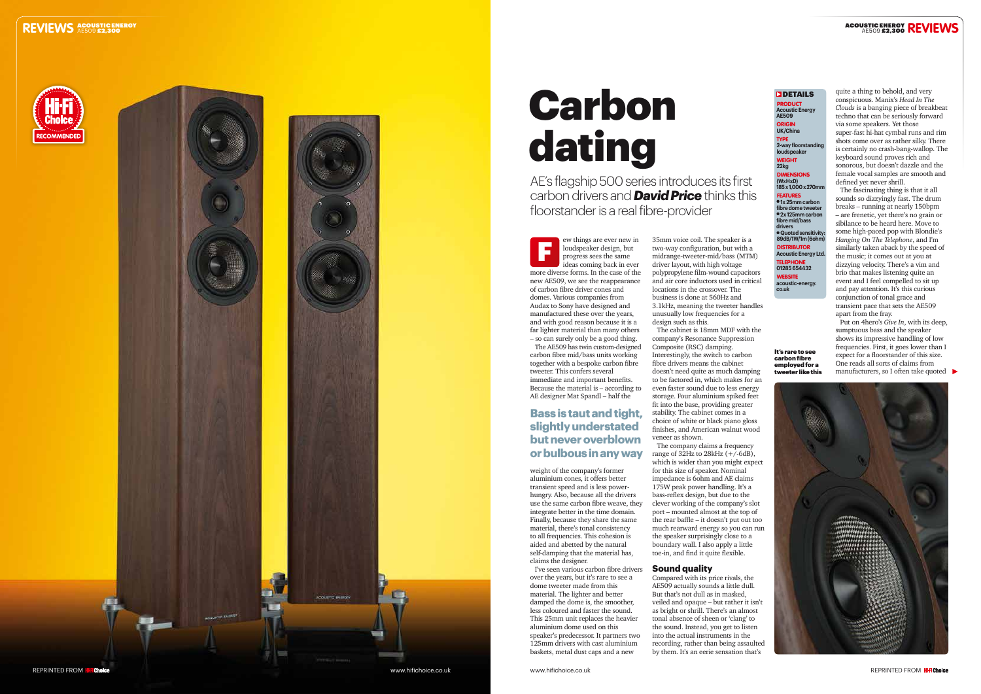## **REVIEWS ACOUSTIC ENERGY**





carbon fibre mid/bass units working together with a bespoke carbon fibre tweeter. This confers several immediate and important benefits. Because the material is – according to AE designer Mat Spandl – half the

## **DETAILS** PRODUCT

**2-way floorstanding loudspeake** WEIGHT **22kg DIMENSIONS** 

weight of the company's former aluminium cones, it offers better transient speed and is less powerhungry. Also, because all the drivers use the same carbon fibre weave, they integrate better in the time domain. Finally, because they share the same material, there's tonal consistency to all frequencies. This cohesion is aided and abetted by the natural self-damping that the material has, claims the designer.

I've seen various carbon fibre drivers over the years, but it's rare to see a dome tweeter made from this material. The lighter and better damped the dome is, the smoother, less coloured and faster the sound. This 25mm unit replaces the heavier aluminium dome used on this speaker's predecessor. It partners two 125mm drivers with cast aluminium baskets, metal dust caps and a new

**Acoustic Energy AE509** TYPE

ORIGIN **UK/China**

**(WxHxD) 185 x 1,000 x 270mm**

FEATURES l **1x 25mm carbon**  fibre dome tweete l **2x 125mm carbon fibre mid/bass drivers** l **Quoted sensitivity: 89dB/1W/1m (6ohm) DISTRIBUTOR Acoustic Energy Ltd.** TELEPHONE **01285 654432** WEBSITE

**acoustic-energy. co.uk**

# Carbon dating

AE's flagship 500 series introduces its first carbon drivers and *David Price* thinks this floorstander is a real fibre-provider

> 35mm voice coil. The speaker is a two-way configuration, but with a midrange-tweeter-mid/bass (MTM) driver layout, with high voltage polypropylene film-wound capacitors and air core inductors used in critical locations in the crossover. The business is done at 560Hz and 3.1kHz, meaning the tweeter handles unusually low frequencies for a design such as this.

ew things are ever new in loudspeaker design, but progress sees the same ideas coming back in ever more diverse forms. In the case of the new AE509, we see the reappearance of carbon fibre driver cones and domes. Various companies from Audax to Sony have designed and manufactured these over the years, and with good reason because it is a far lighter material than many others – so can surely only be a good thing. The AE509 has twin custom-designed F

The cabinet is 18mm MDF with the company's Resonance Suppression Composite (RSC) damping. Interestingly, the switch to carbon fibre drivers means the cabinet doesn't need quite as much damping to be factored in, which makes for an even faster sound due to less energy storage. Four aluminium spiked feet fit into the base, providing greater stability. The cabinet comes in a choice of white or black piano gloss finishes, and American walnut wood veneer as shown.

The company claims a frequency range of  $32Hz$  to  $28kHz$  (+/-6dB), which is wider than you might expect for this size of speaker. Nominal impedance is 6ohm and AE claims 175W peak power handling. It's a bass-reflex design, but due to the clever working of the company's slot port – mounted almost at the top of the rear baffle – it doesn't put out too much rearward energy so you can run the speaker surprisingly close to a boundary wall. I also apply a little toe-in, and find it quite flexible.

### **Sound quality**

Compared with its price rivals, the AE509 actually sounds a little dull. But that's not dull as in masked, veiled and opaque – but rather it isn't as bright or shrill. There's an almost tonal absence of sheen or 'clang' to the sound. Instead, you get to listen into the actual instruments in the recording, rather than being assaulted by them. It's an eerie sensation that's

# ACOUSTIC ENERGY **REVIEWS**

quite a thing to behold, and very conspicuous. Manix's *Head In The Clouds* is a banging piece of breakbeat techno that can be seriously forward via some speakers. Yet those super-fast hi-hat cymbal runs and rim shots come over as rather silky. There is certainly no crash-bang-wallop. The keyboard sound proves rich and sonorous, but doesn't dazzle and the female vocal samples are smooth and defined yet never shrill.

The fascinating thing is that it all sounds so dizzyingly fast. The drum breaks – running at nearly 150bpm – are frenetic, yet there's no grain or sibilance to be heard here. Move to some high-paced pop with Blondie's *Hanging On The Telephone*, and I'm similarly taken aback by the speed of the music; it comes out at you at dizzying velocity. There's a vim and brio that makes listening quite an event and I feel compelled to sit up and pay attention. It's this curious conjunction of tonal grace and transient pace that sets the AE509 apart from the fray.

Put on 4hero's *Give In*, with its deep, sumptuous bass and the speaker shows its impressive handling of low frequencies. First, it goes lower than I expect for a floorstander of this size. One reads all sorts of claims from manufacturers, so I often take quoted



It's rare to see carbon fibre employed for a tweeter like this

# **Bass is taut and tight, slightly understated but never overblown or bulbous in any way**